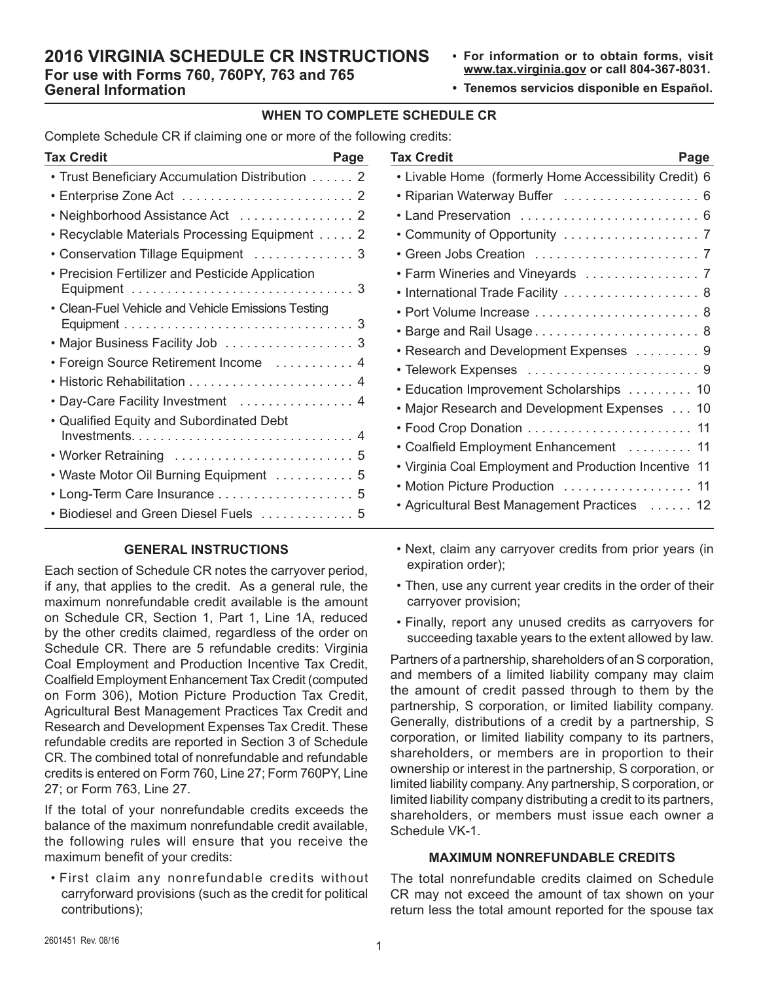# **2016 VIRGINIA SCHEDULE CR INSTRUCTIONS For use with Forms 760, 760PY, 763 and 765 General Information**

- **• For information or to obtain forms, visit www.tax.virginia.gov or call 804-367-8031.**
- **• Tenemos servicios disponible en Español.**

### **WHEN TO COMPLETE SCHEDULE CR**

Complete Schedule CR if claiming one or more of the following credits:

| Tax Credit                                            | Page |
|-------------------------------------------------------|------|
| • Trust Beneficiary Accumulation Distribution 2       |      |
|                                                       |      |
| • Neighborhood Assistance Act 2                       |      |
| Recyclable Materials Processing Equipment 2           |      |
|                                                       |      |
| <b>Precision Fertilizer and Pesticide Application</b> |      |
|                                                       |      |
| • Clean-Fuel Vehicle and Vehicle Emissions Testing    |      |
|                                                       |      |
|                                                       |      |
| • Foreign Source Retirement Income                    | 4    |
|                                                       | 4    |
| Day-Care Facility Investment  4                       |      |
| • Qualified Equity and Subordinated Debt              |      |
|                                                       |      |
|                                                       |      |
|                                                       |      |
| • Long-Term Care Insurance  5                         |      |
| Biodiesel and Green Diesel Fuels  5                   |      |

## **GENERAL INSTRUCTIONS**

Each section of Schedule CR notes the carryover period, if any, that applies to the credit. As a general rule, the maximum nonrefundable credit available is the amount on Schedule CR, Section 1, Part 1, Line 1A, reduced by the other credits claimed, regardless of the order on Schedule CR. There are 5 refundable credits: Virginia Coal Employment and Production Incentive Tax Credit, Coalfield Employment Enhancement Tax Credit (computed on Form 306), Motion Picture Production Tax Credit, Agricultural Best Management Practices Tax Credit and Research and Development Expenses Tax Credit. These refundable credits are reported in Section 3 of Schedule CR. The combined total of nonrefundable and refundable credits is entered on Form 760, Line 27; Form 760PY, Line 27; or Form 763, Line 27.

If the total of your nonrefundable credits exceeds the balance of the maximum nonrefundable credit available, the following rules will ensure that you receive the maximum benefit of your credits:

• First claim any nonrefundable credits without carryforward provisions (such as the credit for political contributions);

| Tax Credit<br>Page                                         |
|------------------------------------------------------------|
| • Livable Home (formerly Home Accessibility Credit) 6      |
|                                                            |
| Land Preservation  6                                       |
|                                                            |
|                                                            |
|                                                            |
| • International Trade Facility  8                          |
|                                                            |
|                                                            |
| • Research and Development Expenses 9                      |
|                                                            |
| • Education Improvement Scholarships  10                   |
| • Major Research and Development Expenses 10               |
|                                                            |
| • Coalfield Employment Enhancement  11                     |
| • Virginia Coal Employment and Production Incentive<br>-11 |
| • Motion Picture Production  11                            |
| • Agricultural Best Management Practices 12                |

- Next, claim any carryover credits from prior years (in expiration order);
- Then, use any current year credits in the order of their carryover provision;
- Finally, report any unused credits as carryovers for succeeding taxable years to the extent allowed by law.

Partners of a partnership, shareholders of an S corporation, and members of a limited liability company may claim the amount of credit passed through to them by the partnership, S corporation, or limited liability company. Generally, distributions of a credit by a partnership, S corporation, or limited liability company to its partners, shareholders, or members are in proportion to their ownership or interest in the partnership, S corporation, or limited liability company. Any partnership, S corporation, or limited liability company distributing a credit to its partners, shareholders, or members must issue each owner a Schedule VK-1.

#### **MAXIMUM NONREFUNDABLE CREDITS**

The total nonrefundable credits claimed on Schedule CR may not exceed the amount of tax shown on your return less the total amount reported for the spouse tax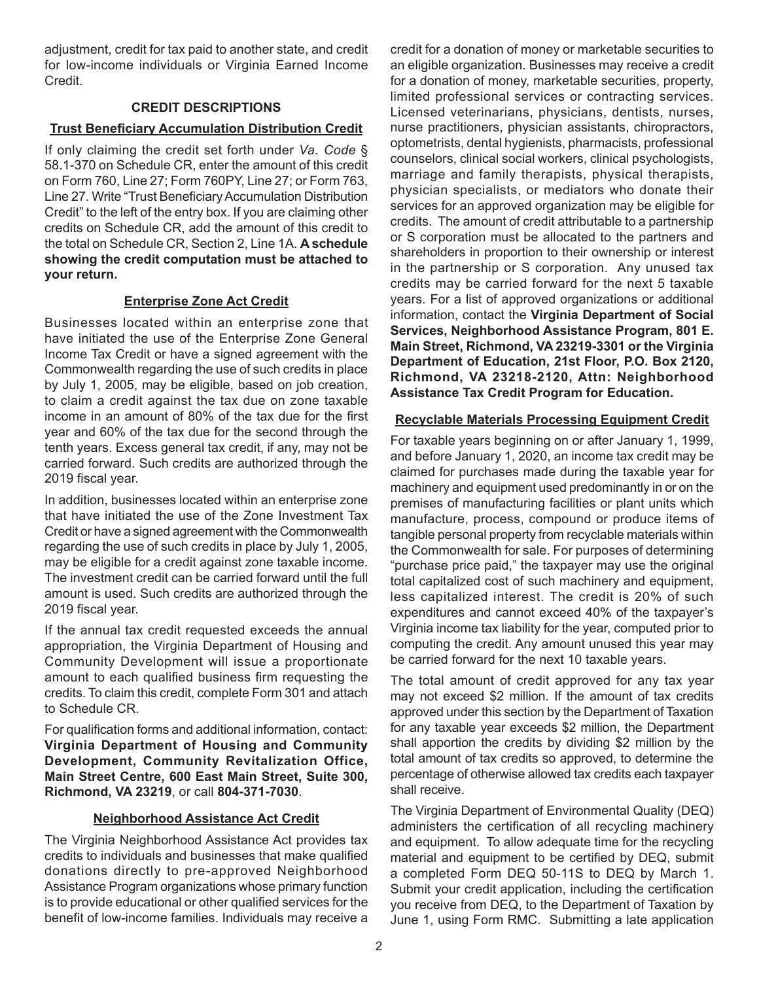adjustment, credit for tax paid to another state, and credit for low-income individuals or Virginia Earned Income Credit.

## **CREDIT DESCRIPTIONS**

### **Trust Beneficiary Accumulation Distribution Credit**

If only claiming the credit set forth under *Va. Code* § 58.1-370 on Schedule CR, enter the amount of this credit on Form 760, Line 27; Form 760PY, Line 27; or Form 763, Line 27. Write "Trust Beneficiary Accumulation Distribution Credit" to the left of the entry box. If you are claiming other credits on Schedule CR, add the amount of this credit to the total on Schedule CR, Section 2, Line 1A. **A schedule showing the credit computation must be attached to your return.**

# **Enterprise Zone Act Credit**

Businesses located within an enterprise zone that have initiated the use of the Enterprise Zone General Income Tax Credit or have a signed agreement with the Commonwealth regarding the use of such credits in place by July 1, 2005, may be eligible, based on job creation, to claim a credit against the tax due on zone taxable income in an amount of 80% of the tax due for the first year and 60% of the tax due for the second through the tenth years. Excess general tax credit, if any, may not be carried forward. Such credits are authorized through the 2019 fiscal year.

In addition, businesses located within an enterprise zone that have initiated the use of the Zone Investment Tax Credit or have a signed agreement with the Commonwealth regarding the use of such credits in place by July 1, 2005, may be eligible for a credit against zone taxable income. The investment credit can be carried forward until the full amount is used. Such credits are authorized through the 2019 fiscal year.

If the annual tax credit requested exceeds the annual appropriation, the Virginia Department of Housing and Community Development will issue a proportionate amount to each qualified business firm requesting the credits. To claim this credit, complete Form 301 and attach to Schedule CR.

For qualification forms and additional information, contact: **Virginia Department of Housing and Community Development, Community Revitalization Office, Main Street Centre, 600 East Main Street, Suite 300, Richmond, VA 23219**, or call **804-371-7030**.

### **Neighborhood Assistance Act Credit**

The Virginia Neighborhood Assistance Act provides tax credits to individuals and businesses that make qualified donations directly to pre-approved Neighborhood Assistance Program organizations whose primary function is to provide educational or other qualified services for the benefit of low-income families. Individuals may receive a credit for a donation of money or marketable securities to an eligible organization. Businesses may receive a credit for a donation of money, marketable securities, property, limited professional services or contracting services. Licensed veterinarians, physicians, dentists, nurses, nurse practitioners, physician assistants, chiropractors, optometrists, dental hygienists, pharmacists, professional counselors, clinical social workers, clinical psychologists, marriage and family therapists, physical therapists, physician specialists, or mediators who donate their services for an approved organization may be eligible for credits. The amount of credit attributable to a partnership or S corporation must be allocated to the partners and shareholders in proportion to their ownership or interest in the partnership or S corporation. Any unused tax credits may be carried forward for the next 5 taxable years. For a list of approved organizations or additional information, contact the **Virginia Department of Social Services, Neighborhood Assistance Program, 801 E. Main Street, Richmond, VA 23219-3301 or the Virginia Department of Education, 21st Floor, P.O. Box 2120, Richmond, VA 23218-2120, Attn: Neighborhood Assistance Tax Credit Program for Education.**

### **Recyclable Materials Processing Equipment Credit**

For taxable years beginning on or after January 1, 1999, and before January 1, 2020, an income tax credit may be claimed for purchases made during the taxable year for machinery and equipment used predominantly in or on the premises of manufacturing facilities or plant units which manufacture, process, compound or produce items of tangible personal property from recyclable materials within the Commonwealth for sale. For purposes of determining "purchase price paid," the taxpayer may use the original total capitalized cost of such machinery and equipment, less capitalized interest. The credit is 20% of such expenditures and cannot exceed 40% of the taxpayer's Virginia income tax liability for the year, computed prior to computing the credit. Any amount unused this year may be carried forward for the next 10 taxable years.

The total amount of credit approved for any tax year may not exceed \$2 million. If the amount of tax credits approved under this section by the Department of Taxation for any taxable year exceeds \$2 million, the Department shall apportion the credits by dividing \$2 million by the total amount of tax credits so approved, to determine the percentage of otherwise allowed tax credits each taxpayer shall receive.

The Virginia Department of Environmental Quality (DEQ) administers the certification of all recycling machinery and equipment. To allow adequate time for the recycling material and equipment to be certified by DEQ, submit a completed Form DEQ 50-11S to DEQ by March 1. Submit your credit application, including the certification you receive from DEQ, to the Department of Taxation by June 1, using Form RMC. Submitting a late application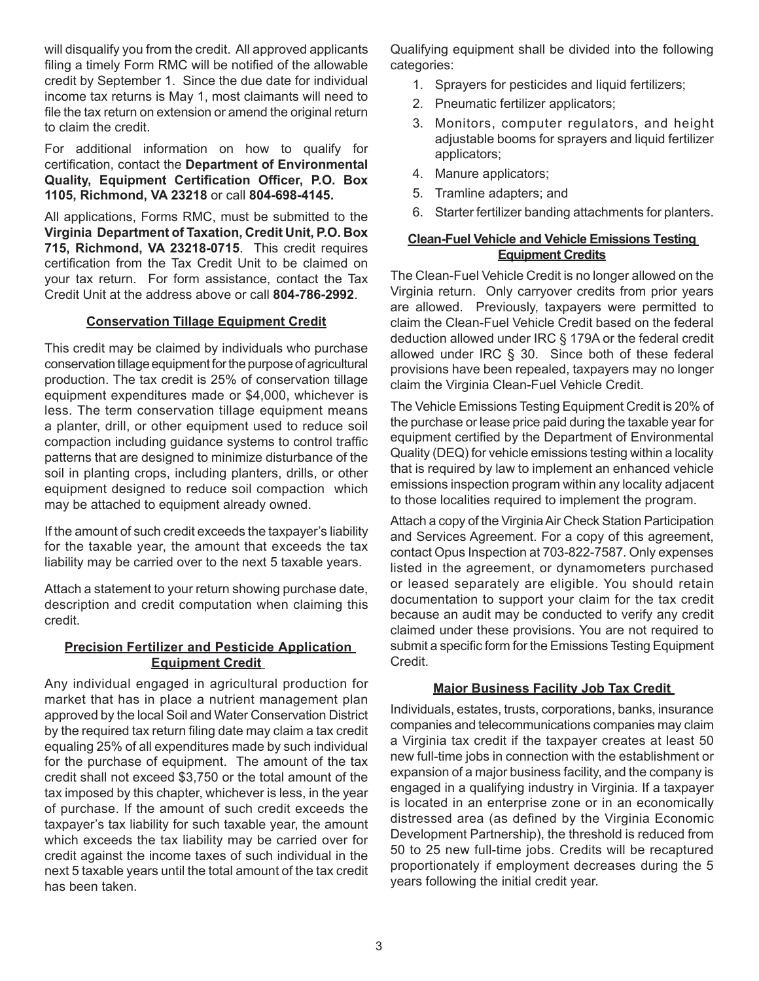will disqualify you from the credit. All approved applicants filing a timely Form RMC will be notified of the allowable credit by September 1. Since the due date for individual income tax returns is May 1, most claimants will need to file the tax return on extension or amend the original return to claim the credit.

For additional information on how to qualify for certification, contact the **Department of Environmental Quality, Equipment Certification Officer, P.O. Box 1105, Richmond, VA 23218** or call **804-698-4145.**

All applications, Forms RMC, must be submitted to the **Virginia Department of Taxation, Credit Unit, P.O. Box 715, Richmond, VA 23218-0715**. This credit requires certification from the Tax Credit Unit to be claimed on your tax return. For form assistance, contact the Tax Credit Unit at the address above or call **804-786-2992**.

## **Conservation Tillage Equipment Credit**

This credit may be claimed by individuals who purchase conservation tillage equipment for the purpose of agricultural production. The tax credit is 25% of conservation tillage equipment expenditures made or \$4,000, whichever is less. The term conservation tillage equipment means a planter, drill, or other equipment used to reduce soil compaction including guidance systems to control traffic patterns that are designed to minimize disturbance of the soil in planting crops, including planters, drills, or other equipment designed to reduce soil compaction which may be attached to equipment already owned.

If the amount of such credit exceeds the taxpayer's liability for the taxable year, the amount that exceeds the tax liability may be carried over to the next 5 taxable years.

Attach a statement to your return showing purchase date, description and credit computation when claiming this credit.

### **Precision Fertilizer and Pesticide Application Equipment Credit**

Any individual engaged in agricultural production for market that has in place a nutrient management plan approved by the local Soil and Water Conservation District by the required tax return filing date may claim a tax credit equaling 25% of all expenditures made by such individual for the purchase of equipment. The amount of the tax credit shall not exceed \$3,750 or the total amount of the tax imposed by this chapter, whichever is less, in the year of purchase. If the amount of such credit exceeds the taxpayer's tax liability for such taxable year, the amount which exceeds the tax liability may be carried over for credit against the income taxes of such individual in the next 5 taxable years until the total amount of the tax credit has been taken.

Qualifying equipment shall be divided into the following categories:

- 1. Sprayers for pesticides and liquid fertilizers;
- 2. Pneumatic fertilizer applicators;
- 3. Monitors, computer regulators, and height adjustable booms for sprayers and liquid fertilizer applicators;
- 4. Manure applicators;
- 5. Tramline adapters; and
- 6. Starter fertilizer banding attachments for planters.

# **Clean-Fuel Vehicle and Vehicle Emissions Testing Equipment Credits**

The Clean-Fuel Vehicle Credit is no longer allowed on the Virginia return. Only carryover credits from prior years are allowed. Previously, taxpayers were permitted to claim the Clean-Fuel Vehicle Credit based on the federal deduction allowed under IRC § 179A or the federal credit allowed under IRC § 30. Since both of these federal provisions have been repealed, taxpayers may no longer claim the Virginia Clean-Fuel Vehicle Credit.

The Vehicle Emissions Testing Equipment Credit is 20% of the purchase or lease price paid during the taxable year for equipment certified by the Department of Environmental Quality (DEQ) for vehicle emissions testing within a locality that is required by law to implement an enhanced vehicle emissions inspection program within any locality adjacent to those localities required to implement the program.

Attach a copy of the Virginia Air Check Station Participation and Services Agreement. For a copy of this agreement, contact Opus Inspection at 703-822-7587. Only expenses listed in the agreement, or dynamometers purchased or leased separately are eligible. You should retain documentation to support your claim for the tax credit because an audit may be conducted to verify any credit claimed under these provisions. You are not required to submit a specific form for the Emissions Testing Equipment Credit.

# **Major Business Facility Job Tax Credit**

Individuals, estates, trusts, corporations, banks, insurance companies and telecommunications companies may claim a Virginia tax credit if the taxpayer creates at least 50 new full-time jobs in connection with the establishment or expansion of a major business facility, and the company is engaged in a qualifying industry in Virginia. If a taxpayer is located in an enterprise zone or in an economically distressed area (as defined by the Virginia Economic Development Partnership), the threshold is reduced from 50 to 25 new full-time jobs. Credits will be recaptured proportionately if employment decreases during the 5 years following the initial credit year.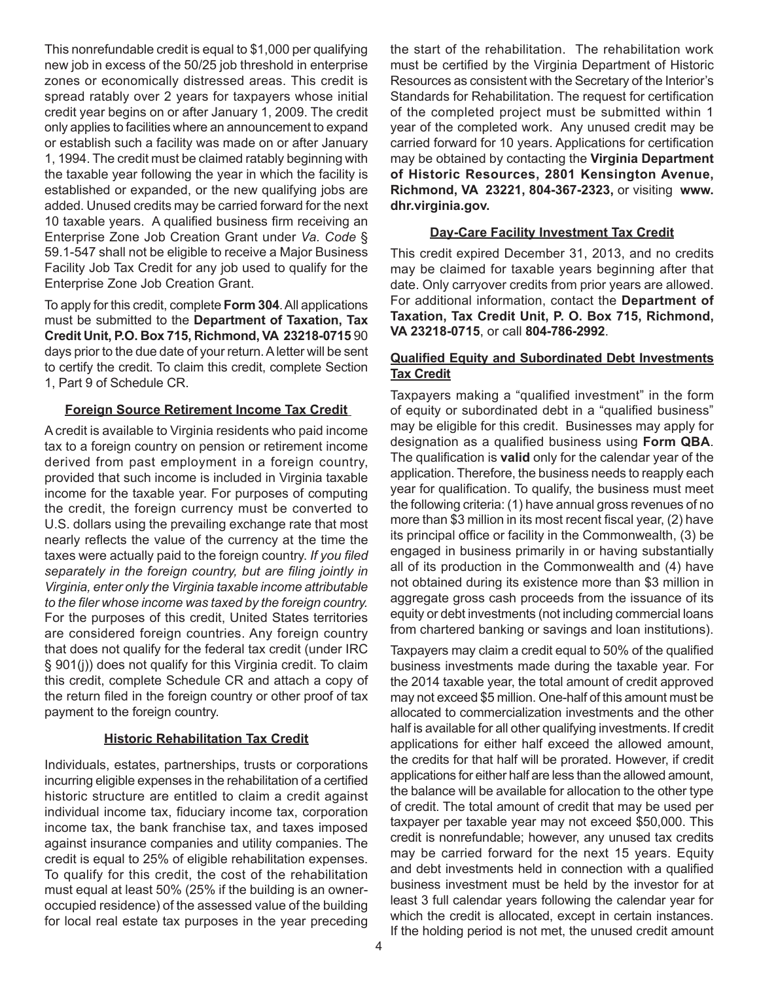This nonrefundable credit is equal to \$1,000 per qualifying new job in excess of the 50/25 job threshold in enterprise zones or economically distressed areas. This credit is spread ratably over 2 years for taxpayers whose initial credit year begins on or after January 1, 2009. The credit only applies to facilities where an announcement to expand or establish such a facility was made on or after January 1, 1994. The credit must be claimed ratably beginning with the taxable year following the year in which the facility is established or expanded, or the new qualifying jobs are added. Unused credits may be carried forward for the next 10 taxable years. A qualified business firm receiving an Enterprise Zone Job Creation Grant under *Va. Code* § 59.1-547 shall not be eligible to receive a Major Business Facility Job Tax Credit for any job used to qualify for the Enterprise Zone Job Creation Grant.

To apply for this credit, complete **Form 304**. All applications must be submitted to the **Department of Taxation, Tax Credit Unit, P.O. Box 715, Richmond, VA 23218-0715** 90 days prior to the due date of your return. A letter will be sent to certify the credit. To claim this credit, complete Section 1, Part 9 of Schedule CR.

### **Foreign Source Retirement Income Tax Credit**

A credit is available to Virginia residents who paid income tax to a foreign country on pension or retirement income derived from past employment in a foreign country, provided that such income is included in Virginia taxable income for the taxable year. For purposes of computing the credit, the foreign currency must be converted to U.S. dollars using the prevailing exchange rate that most nearly reflects the value of the currency at the time the taxes were actually paid to the foreign country. *If you filed separately in the foreign country, but are filing jointly in Virginia, enter only the Virginia taxable income attributable to the filer whose income was taxed by the foreign country.*  For the purposes of this credit, United States territories are considered foreign countries. Any foreign country that does not qualify for the federal tax credit (under IRC § 901(j)) does not qualify for this Virginia credit. To claim this credit, complete Schedule CR and attach a copy of the return filed in the foreign country or other proof of tax payment to the foreign country.

# **Historic Rehabilitation Tax Credit**

Individuals, estates, partnerships, trusts or corporations incurring eligible expenses in the rehabilitation of a certified historic structure are entitled to claim a credit against individual income tax, fiduciary income tax, corporation income tax, the bank franchise tax, and taxes imposed against insurance companies and utility companies. The credit is equal to 25% of eligible rehabilitation expenses. To qualify for this credit, the cost of the rehabilitation must equal at least 50% (25% if the building is an owneroccupied residence) of the assessed value of the building for local real estate tax purposes in the year preceding

the start of the rehabilitation. The rehabilitation work must be certified by the Virginia Department of Historic Resources as consistent with the Secretary of the Interior's Standards for Rehabilitation. The request for certification of the completed project must be submitted within 1 year of the completed work. Any unused credit may be carried forward for 10 years. Applications for certification may be obtained by contacting the **Virginia Department of Historic Resources, 2801 Kensington Avenue, Richmond, VA 23221, 804-367-2323,** or visiting **www. dhr.virginia.gov.** 

## **Day-Care Facility Investment Tax Credit**

This credit expired December 31, 2013, and no credits may be claimed for taxable years beginning after that date. Only carryover credits from prior years are allowed. For additional information, contact the **Department of Taxation, Tax Credit Unit, P. O. Box 715, Richmond, VA 23218-0715**, or call **804-786-2992**.

### **Qualified Equity and Subordinated Debt Investments Tax Credit**

Taxpayers making a "qualified investment" in the form of equity or subordinated debt in a "qualified business" may be eligible for this credit. Businesses may apply for designation as a qualified business using **Form QBA**. The qualification is **valid** only for the calendar year of the application. Therefore, the business needs to reapply each year for qualification. To qualify, the business must meet the following criteria: (1) have annual gross revenues of no more than \$3 million in its most recent fiscal year, (2) have its principal office or facility in the Commonwealth, (3) be engaged in business primarily in or having substantially all of its production in the Commonwealth and (4) have not obtained during its existence more than \$3 million in aggregate gross cash proceeds from the issuance of its equity or debt investments (not including commercial loans from chartered banking or savings and loan institutions).

Taxpayers may claim a credit equal to 50% of the qualified business investments made during the taxable year. For the 2014 taxable year, the total amount of credit approved may not exceed \$5 million. One-half of this amount must be allocated to commercialization investments and the other half is available for all other qualifying investments. If credit applications for either half exceed the allowed amount, the credits for that half will be prorated. However, if credit applications for either half are less than the allowed amount, the balance will be available for allocation to the other type of credit. The total amount of credit that may be used per taxpayer per taxable year may not exceed \$50,000. This credit is nonrefundable; however, any unused tax credits may be carried forward for the next 15 years. Equity and debt investments held in connection with a qualified business investment must be held by the investor for at least 3 full calendar years following the calendar year for which the credit is allocated, except in certain instances. If the holding period is not met, the unused credit amount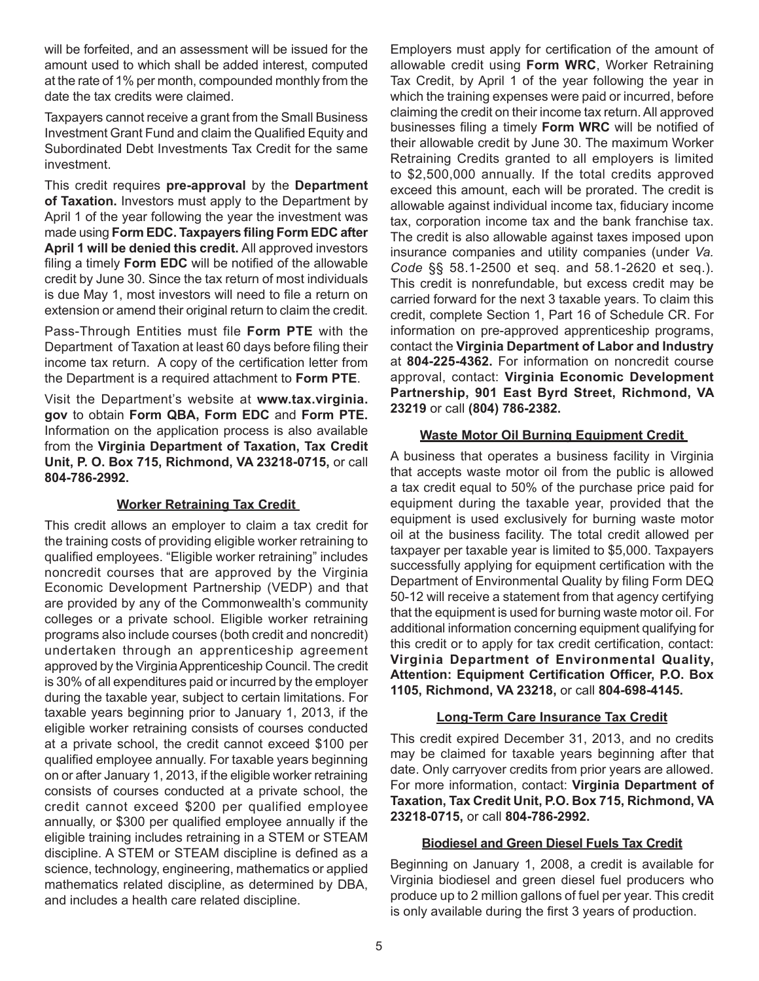will be forfeited, and an assessment will be issued for the amount used to which shall be added interest, computed at the rate of 1% per month, compounded monthly from the date the tax credits were claimed.

Taxpayers cannot receive a grant from the Small Business Investment Grant Fund and claim the Qualified Equity and Subordinated Debt Investments Tax Credit for the same investment.

This credit requires **pre-approval** by the **Department of Taxation.** Investors must apply to the Department by April 1 of the year following the year the investment was made using **Form EDC. Taxpayers filing Form EDC after April 1 will be denied this credit.** All approved investors filing a timely **Form EDC** will be notified of the allowable credit by June 30. Since the tax return of most individuals is due May 1, most investors will need to file a return on extension or amend their original return to claim the credit.

Pass-Through Entities must file **Form PTE** with the Department of Taxation at least 60 days before filing their income tax return. A copy of the certification letter from the Department is a required attachment to **Form PTE**.

Visit the Department's website at **www.tax.virginia. gov** to obtain **Form QBA, Form EDC** and **Form PTE.** Information on the application process is also available from the **Virginia Department of Taxation, Tax Credit Unit, P. O. Box 715, Richmond, VA 23218-0715,** or call **804-786-2992.**

# **Worker Retraining Tax Credit**

This credit allows an employer to claim a tax credit for the training costs of providing eligible worker retraining to qualified employees. "Eligible worker retraining" includes noncredit courses that are approved by the Virginia Economic Development Partnership (VEDP) and that are provided by any of the Commonwealth's community colleges or a private school. Eligible worker retraining programs also include courses (both credit and noncredit) undertaken through an apprenticeship agreement approved by the Virginia Apprenticeship Council. The credit is 30% of all expenditures paid or incurred by the employer during the taxable year, subject to certain limitations. For taxable years beginning prior to January 1, 2013, if the eligible worker retraining consists of courses conducted at a private school, the credit cannot exceed \$100 per qualified employee annually. For taxable years beginning on or after January 1, 2013, if the eligible worker retraining consists of courses conducted at a private school, the credit cannot exceed \$200 per qualified employee annually, or \$300 per qualified employee annually if the eligible training includes retraining in a STEM or STEAM discipline. A STEM or STEAM discipline is defined as a science, technology, engineering, mathematics or applied mathematics related discipline, as determined by DBA, and includes a health care related discipline.

Employers must apply for certification of the amount of allowable credit using **Form WRC**, Worker Retraining Tax Credit, by April 1 of the year following the year in which the training expenses were paid or incurred, before claiming the credit on their income tax return. All approved businesses filing a timely **Form WRC** will be notified of their allowable credit by June 30. The maximum Worker Retraining Credits granted to all employers is limited to \$2,500,000 annually. If the total credits approved exceed this amount, each will be prorated. The credit is allowable against individual income tax, fiduciary income tax, corporation income tax and the bank franchise tax. The credit is also allowable against taxes imposed upon insurance companies and utility companies (under *Va. Code* §§ 58.1-2500 et seq. and 58.1-2620 et seq.). This credit is nonrefundable, but excess credit may be carried forward for the next 3 taxable years. To claim this credit, complete Section 1, Part 16 of Schedule CR. For information on pre-approved apprenticeship programs, contact the **Virginia Department of Labor and Industry**  at **804-225-4362.** For information on noncredit course approval, contact: **Virginia Economic Development Partnership, 901 East Byrd Street, Richmond, VA 23219** or call **(804) 786-2382.**

# **Waste Motor Oil Burning Equipment Credit**

A business that operates a business facility in Virginia that accepts waste motor oil from the public is allowed a tax credit equal to 50% of the purchase price paid for equipment during the taxable year, provided that the equipment is used exclusively for burning waste motor oil at the business facility. The total credit allowed per taxpayer per taxable year is limited to \$5,000. Taxpayers successfully applying for equipment certification with the Department of Environmental Quality by filing Form DEQ 50-12 will receive a statement from that agency certifying that the equipment is used for burning waste motor oil. For additional information concerning equipment qualifying for this credit or to apply for tax credit certification, contact: **Virginia Department of Environmental Quality, Attention: Equipment Certification Officer, P.O. Box 1105, Richmond, VA 23218,** or call **804-698-4145.**

# **Long-Term Care Insurance Tax Credit**

This credit expired December 31, 2013, and no credits may be claimed for taxable years beginning after that date. Only carryover credits from prior years are allowed. For more information, contact: **Virginia Department of Taxation, Tax Credit Unit, P.O. Box 715, Richmond, VA 23218-0715,** or call **804-786-2992.**

### **Biodiesel and Green Diesel Fuels Tax Credit**

Beginning on January 1, 2008, a credit is available for Virginia biodiesel and green diesel fuel producers who produce up to 2 million gallons of fuel per year. This credit is only available during the first 3 years of production.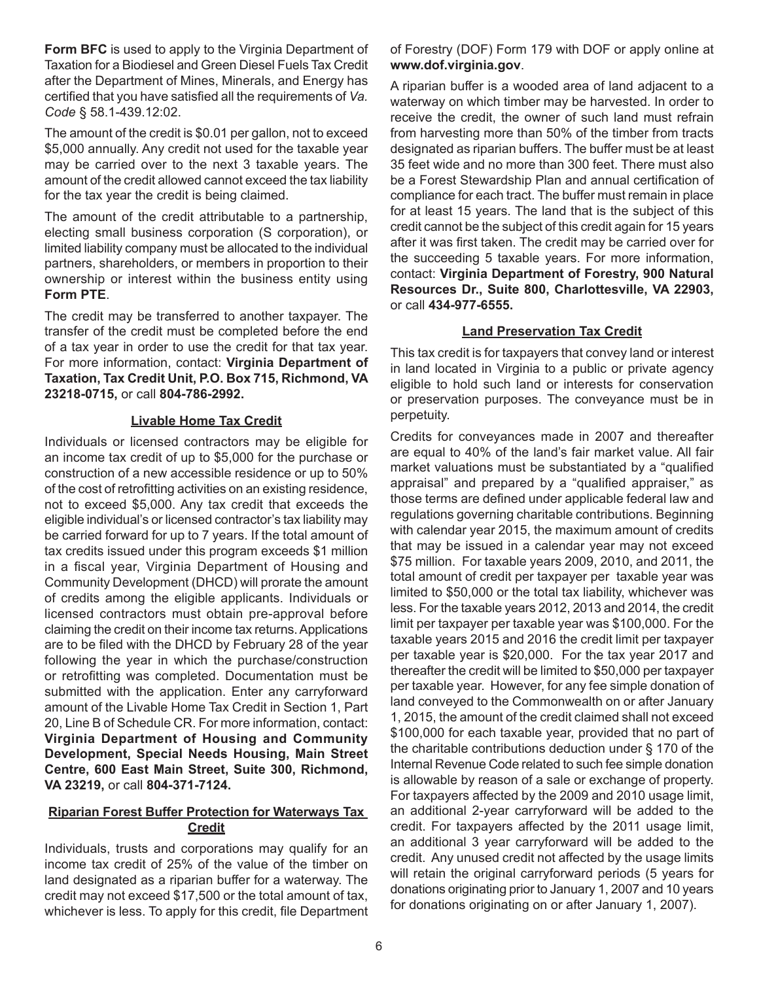**Form BFC** is used to apply to the Virginia Department of Taxation for a Biodiesel and Green Diesel Fuels Tax Credit after the Department of Mines, Minerals, and Energy has certified that you have satisfied all the requirements of *Va. Code* § 58.1-439.12:02.

The amount of the credit is \$0.01 per gallon, not to exceed \$5,000 annually. Any credit not used for the taxable year may be carried over to the next 3 taxable years. The amount of the credit allowed cannot exceed the tax liability for the tax year the credit is being claimed.

The amount of the credit attributable to a partnership, electing small business corporation (S corporation), or limited liability company must be allocated to the individual partners, shareholders, or members in proportion to their ownership or interest within the business entity using **Form PTE**.

The credit may be transferred to another taxpayer. The transfer of the credit must be completed before the end of a tax year in order to use the credit for that tax year. For more information, contact: **Virginia Department of Taxation, Tax Credit Unit, P.O. Box 715, Richmond, VA 23218-0715,** or call **804-786-2992.**

### **Livable Home Tax Credit**

Individuals or licensed contractors may be eligible for an income tax credit of up to \$5,000 for the purchase or construction of a new accessible residence or up to 50% of the cost of retrofitting activities on an existing residence, not to exceed \$5,000. Any tax credit that exceeds the eligible individual's or licensed contractor's tax liability may be carried forward for up to 7 years. If the total amount of tax credits issued under this program exceeds \$1 million in a fiscal year, Virginia Department of Housing and Community Development (DHCD) will prorate the amount of credits among the eligible applicants. Individuals or licensed contractors must obtain pre-approval before claiming the credit on their income tax returns. Applications are to be filed with the DHCD by February 28 of the year following the year in which the purchase/construction or retrofitting was completed. Documentation must be submitted with the application. Enter any carryforward amount of the Livable Home Tax Credit in Section 1, Part 20, Line B of Schedule CR. For more information, contact: **Virginia Department of Housing and Community Development, Special Needs Housing, Main Street Centre, 600 East Main Street, Suite 300, Richmond, VA 23219,** or call **804-371-7124.**

## **Riparian Forest Buffer Protection for Waterways Tax Credit**

Individuals, trusts and corporations may qualify for an income tax credit of 25% of the value of the timber on land designated as a riparian buffer for a waterway. The credit may not exceed \$17,500 or the total amount of tax, whichever is less. To apply for this credit, file Department of Forestry (DOF) Form 179 with DOF or apply online at **www.dof.virginia.gov**.

A riparian buffer is a wooded area of land adjacent to a waterway on which timber may be harvested. In order to receive the credit, the owner of such land must refrain from harvesting more than 50% of the timber from tracts designated as riparian buffers. The buffer must be at least 35 feet wide and no more than 300 feet. There must also be a Forest Stewardship Plan and annual certification of compliance for each tract. The buffer must remain in place for at least 15 years. The land that is the subject of this credit cannot be the subject of this credit again for 15 years after it was first taken. The credit may be carried over for the succeeding 5 taxable years. For more information, contact: **Virginia Department of Forestry, 900 Natural Resources Dr., Suite 800, Charlottesville, VA 22903,**  or call **434-977-6555.** 

# **Land Preservation Tax Credit**

This tax credit is for taxpayers that convey land or interest in land located in Virginia to a public or private agency eligible to hold such land or interests for conservation or preservation purposes. The conveyance must be in perpetuity.

Credits for conveyances made in 2007 and thereafter are equal to 40% of the land's fair market value. All fair market valuations must be substantiated by a "qualified appraisal" and prepared by a "qualified appraiser," as those terms are defined under applicable federal law and regulations governing charitable contributions. Beginning with calendar year 2015, the maximum amount of credits that may be issued in a calendar year may not exceed \$75 million. For taxable years 2009, 2010, and 2011, the total amount of credit per taxpayer per taxable year was limited to \$50,000 or the total tax liability, whichever was less. For the taxable years 2012, 2013 and 2014, the credit limit per taxpayer per taxable year was \$100,000. For the taxable years 2015 and 2016 the credit limit per taxpayer per taxable year is \$20,000. For the tax year 2017 and thereafter the credit will be limited to \$50,000 per taxpayer per taxable year. However, for any fee simple donation of land conveyed to the Commonwealth on or after January 1, 2015, the amount of the credit claimed shall not exceed \$100,000 for each taxable year, provided that no part of the charitable contributions deduction under § 170 of the Internal Revenue Code related to such fee simple donation is allowable by reason of a sale or exchange of property. For taxpayers affected by the 2009 and 2010 usage limit, an additional 2-year carryforward will be added to the credit. For taxpayers affected by the 2011 usage limit, an additional 3 year carryforward will be added to the credit. Any unused credit not affected by the usage limits will retain the original carryforward periods (5 years for donations originating prior to January 1, 2007 and 10 years for donations originating on or after January 1, 2007).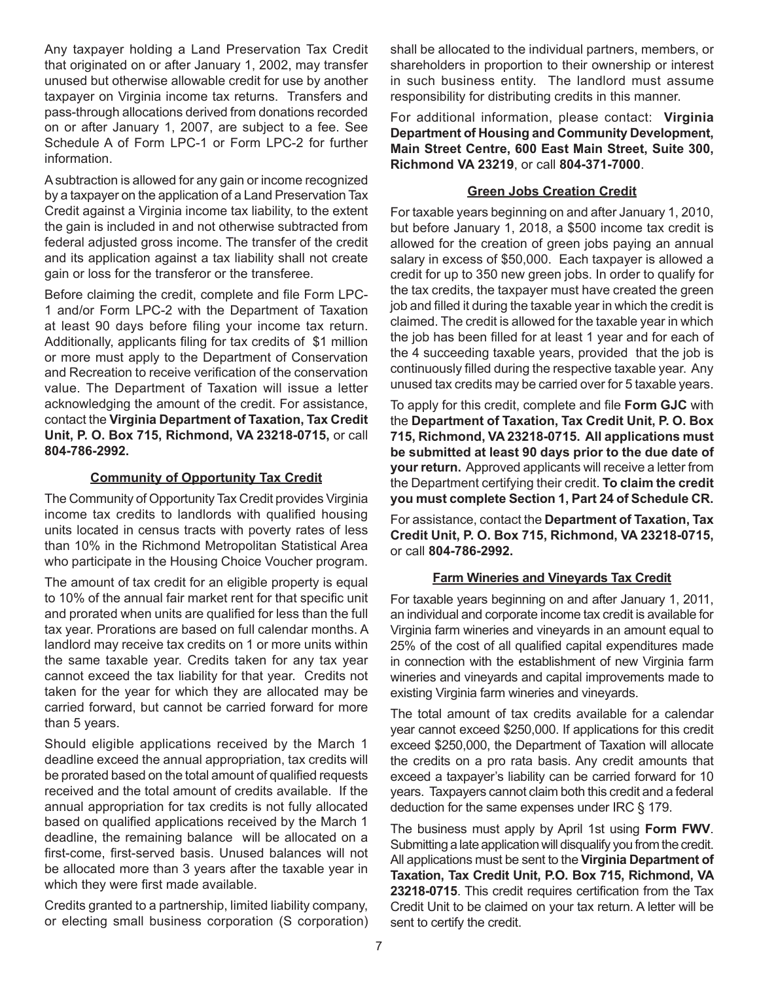Any taxpayer holding a Land Preservation Tax Credit that originated on or after January 1, 2002, may transfer unused but otherwise allowable credit for use by another taxpayer on Virginia income tax returns. Transfers and pass-through allocations derived from donations recorded on or after January 1, 2007, are subject to a fee. See Schedule A of Form LPC-1 or Form LPC-2 for further information.

A subtraction is allowed for any gain or income recognized by a taxpayer on the application of a Land Preservation Tax Credit against a Virginia income tax liability, to the extent the gain is included in and not otherwise subtracted from federal adjusted gross income. The transfer of the credit and its application against a tax liability shall not create gain or loss for the transferor or the transferee.

Before claiming the credit, complete and file Form LPC-1 and/or Form LPC-2 with the Department of Taxation at least 90 days before filing your income tax return. Additionally, applicants filing for tax credits of \$1 million or more must apply to the Department of Conservation and Recreation to receive verification of the conservation value. The Department of Taxation will issue a letter acknowledging the amount of the credit. For assistance, contact the **Virginia Department of Taxation, Tax Credit Unit, P. O. Box 715, Richmond, VA 23218-0715,** or call **804-786-2992.**

## **Community of Opportunity Tax Credit**

The Community of Opportunity Tax Credit provides Virginia income tax credits to landlords with qualified housing units located in census tracts with poverty rates of less than 10% in the Richmond Metropolitan Statistical Area who participate in the Housing Choice Voucher program.

The amount of tax credit for an eligible property is equal to 10% of the annual fair market rent for that specific unit and prorated when units are qualified for less than the full tax year. Prorations are based on full calendar months. A landlord may receive tax credits on 1 or more units within the same taxable year. Credits taken for any tax year cannot exceed the tax liability for that year. Credits not taken for the year for which they are allocated may be carried forward, but cannot be carried forward for more than 5 years.

Should eligible applications received by the March 1 deadline exceed the annual appropriation, tax credits will be prorated based on the total amount of qualified requests received and the total amount of credits available. If the annual appropriation for tax credits is not fully allocated based on qualified applications received by the March 1 deadline, the remaining balance will be allocated on a first-come, first-served basis. Unused balances will not be allocated more than 3 years after the taxable year in which they were first made available.

Credits granted to a partnership, limited liability company, or electing small business corporation (S corporation) shall be allocated to the individual partners, members, or shareholders in proportion to their ownership or interest in such business entity. The landlord must assume responsibility for distributing credits in this manner.

For additional information, please contact: **Virginia Department of Housing and Community Development, Main Street Centre, 600 East Main Street, Suite 300, Richmond VA 23219**, or call **804-371-7000**.

## **Green Jobs Creation Credit**

For taxable years beginning on and after January 1, 2010, but before January 1, 2018, a \$500 income tax credit is allowed for the creation of green jobs paying an annual salary in excess of \$50,000. Each taxpayer is allowed a credit for up to 350 new green jobs. In order to qualify for the tax credits, the taxpayer must have created the green job and filled it during the taxable year in which the credit is claimed. The credit is allowed for the taxable year in which the job has been filled for at least 1 year and for each of the 4 succeeding taxable years, provided that the job is continuously filled during the respective taxable year. Any unused tax credits may be carried over for 5 taxable years.

To apply for this credit, complete and file **Form GJC** with the **Department of Taxation, Tax Credit Unit, P. O. Box 715, Richmond, VA 23218-0715. All applications must be submitted at least 90 days prior to the due date of your return.** Approved applicants will receive a letter from the Department certifying their credit. **To claim the credit you must complete Section 1, Part 24 of Schedule CR.**

For assistance, contact the **Department of Taxation, Tax Credit Unit, P. O. Box 715, Richmond, VA 23218-0715,**  or call **804-786-2992.**

### **Farm Wineries and Vineyards Tax Credit**

For taxable years beginning on and after January 1, 2011, an individual and corporate income tax credit is available for Virginia farm wineries and vineyards in an amount equal to 25% of the cost of all qualified capital expenditures made in connection with the establishment of new Virginia farm wineries and vineyards and capital improvements made to existing Virginia farm wineries and vineyards.

The total amount of tax credits available for a calendar year cannot exceed \$250,000. If applications for this credit exceed \$250,000, the Department of Taxation will allocate the credits on a pro rata basis. Any credit amounts that exceed a taxpayer's liability can be carried forward for 10 years. Taxpayers cannot claim both this credit and a federal deduction for the same expenses under IRC § 179.

The business must apply by April 1st using **Form FWV**. Submitting a late application will disqualify you from the credit. All applications must be sent to the **Virginia Department of Taxation, Tax Credit Unit, P.O. Box 715, Richmond, VA 23218-0715**. This credit requires certification from the Tax Credit Unit to be claimed on your tax return. A letter will be sent to certify the credit.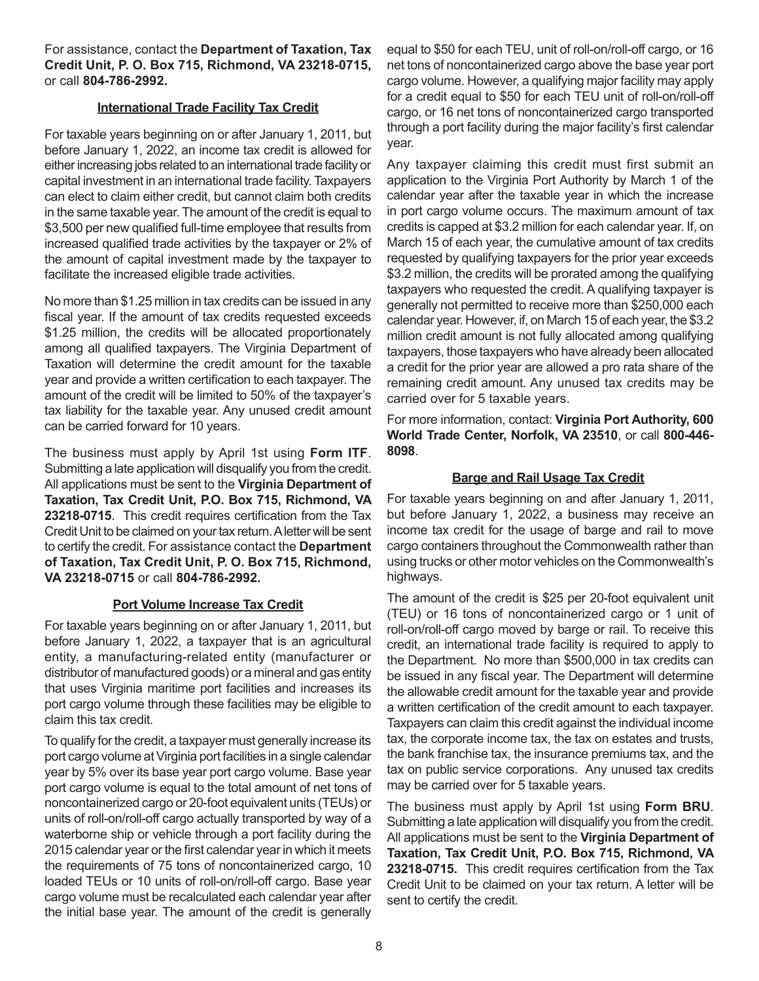For assistance, contact the **Department of Taxation, Tax Credit Unit, P. O. Box 715, Richmond, VA 23218-0715,**  or call **804-786-2992.**

### **International Trade Facility Tax Credit**

For taxable years beginning on or after January 1, 2011, but before January 1, 2022, an income tax credit is allowed for either increasing jobs related to an international trade facility or capital investment in an international trade facility. Taxpayers can elect to claim either credit, but cannot claim both credits in the same taxable year. The amount of the credit is equal to \$3,500 per new qualified full-time employee that results from increased qualified trade activities by the taxpayer or 2% of the amount of capital investment made by the taxpayer to facilitate the increased eligible trade activities.

No more than \$1.25 million in tax credits can be issued in any fiscal year. If the amount of tax credits requested exceeds \$1.25 million, the credits will be allocated proportionately among all qualified taxpayers. The Virginia Department of Taxation will determine the credit amount for the taxable year and provide a written certification to each taxpayer. The amount of the credit will be limited to 50% of the taxpayer's tax liability for the taxable year. Any unused credit amount can be carried forward for 10 years.

The business must apply by April 1st using **Form ITF**. Submitting a late application will disqualify you from the credit. All applications must be sent to the **Virginia Department of Taxation, Tax Credit Unit, P.O. Box 715, Richmond, VA 23218-0715**. This credit requires certification from the Tax Credit Unit to be claimed on your tax return. A letter will be sent to certify the credit. For assistance contact the **Department of Taxation, Tax Credit Unit, P. O. Box 715, Richmond, VA 23218-0715** or call **804-786-2992.**

### **Port Volume Increase Tax Credit**

For taxable years beginning on or after January 1, 2011, but before January 1, 2022, a taxpayer that is an agricultural entity, a manufacturing-related entity (manufacturer or distributor of manufactured goods) or a mineral and gas entity that uses Virginia maritime port facilities and increases its port cargo volume through these facilities may be eligible to claim this tax credit.

To qualify for the credit, a taxpayer must generally increase its port cargo volume at Virginia port facilities in a single calendar year by 5% over its base year port cargo volume. Base year port cargo volume is equal to the total amount of net tons of noncontainerized cargo or 20-foot equivalent units (TEUs) or units of roll-on/roll-off cargo actually transported by way of a waterborne ship or vehicle through a port facility during the 2015 calendar year or the first calendar year in which it meets the requirements of 75 tons of noncontainerized cargo, 10 loaded TEUs or 10 units of roll-on/roll-off cargo. Base year cargo volume must be recalculated each calendar year after the initial base year. The amount of the credit is generally equal to \$50 for each TEU, unit of roll-on/roll-off cargo, or 16 net tons of noncontainerized cargo above the base year port cargo volume. However, a qualifying major facility may apply for a credit equal to \$50 for each TEU unit of roll-on/roll-off cargo, or 16 net tons of noncontainerized cargo transported through a port facility during the major facility's first calendar year.

Any taxpayer claiming this credit must first submit an application to the Virginia Port Authority by March 1 of the calendar year after the taxable year in which the increase in port cargo volume occurs. The maximum amount of tax credits is capped at \$3.2 million for each calendar year. If, on March 15 of each year, the cumulative amount of tax credits requested by qualifying taxpayers for the prior year exceeds \$3.2 million, the credits will be prorated among the qualifying taxpayers who requested the credit. A qualifying taxpayer is generally not permitted to receive more than \$250,000 each calendar year. However, if, on March 15 of each year, the \$3.2 million credit amount is not fully allocated among qualifying taxpayers, those taxpayers who have already been allocated a credit for the prior year are allowed a pro rata share of the remaining credit amount. Any unused tax credits may be carried over for 5 taxable years.

For more information, contact: **Virginia Port Authority, 600 World Trade Center, Norfolk, VA 23510**, or call **800-446- 8098**.

## **Barge and Rail Usage Tax Credit**

For taxable years beginning on and after January 1, 2011, but before January 1, 2022, a business may receive an income tax credit for the usage of barge and rail to move cargo containers throughout the Commonwealth rather than using trucks or other motor vehicles on the Commonwealth's highways.

The amount of the credit is \$25 per 20-foot equivalent unit (TEU) or 16 tons of noncontainerized cargo or 1 unit of roll-on/roll-off cargo moved by barge or rail. To receive this credit, an international trade facility is required to apply to the Department. No more than \$500,000 in tax credits can be issued in any fiscal year. The Department will determine the allowable credit amount for the taxable year and provide a written certification of the credit amount to each taxpayer. Taxpayers can claim this credit against the individual income tax, the corporate income tax, the tax on estates and trusts, the bank franchise tax, the insurance premiums tax, and the tax on public service corporations. Any unused tax credits may be carried over for 5 taxable years.

The business must apply by April 1st using **Form BRU**. Submitting a late application will disqualify you from the credit. All applications must be sent to the **Virginia Department of Taxation, Tax Credit Unit, P.O. Box 715, Richmond, VA 23218-0715.** This credit requires certification from the Tax Credit Unit to be claimed on your tax return. A letter will be sent to certify the credit.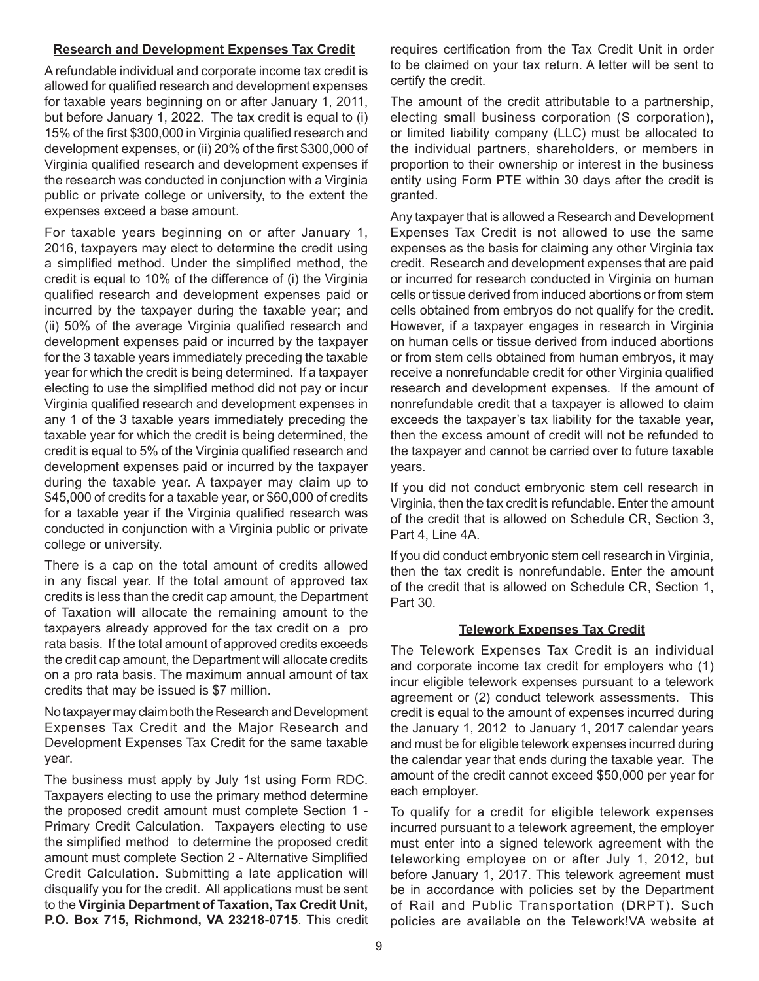#### **Research and Development Expenses Tax Credit**

A refundable individual and corporate income tax credit is allowed for qualified research and development expenses for taxable years beginning on or after January 1, 2011, but before January 1, 2022. The tax credit is equal to (i) 15% of the first \$300,000 in Virginia qualified research and development expenses, or (ii) 20% of the first \$300,000 of Virginia qualified research and development expenses if the research was conducted in conjunction with a Virginia public or private college or university, to the extent the expenses exceed a base amount.

For taxable years beginning on or after January 1, 2016, taxpayers may elect to determine the credit using a simplified method. Under the simplified method, the credit is equal to 10% of the difference of (i) the Virginia qualified research and development expenses paid or incurred by the taxpayer during the taxable year; and (ii) 50% of the average Virginia qualified research and development expenses paid or incurred by the taxpayer for the 3 taxable years immediately preceding the taxable year for which the credit is being determined. If a taxpayer electing to use the simplified method did not pay or incur Virginia qualified research and development expenses in any 1 of the 3 taxable years immediately preceding the taxable year for which the credit is being determined, the credit is equal to 5% of the Virginia qualified research and development expenses paid or incurred by the taxpayer during the taxable year. A taxpayer may claim up to \$45,000 of credits for a taxable year, or \$60,000 of credits for a taxable year if the Virginia qualified research was conducted in conjunction with a Virginia public or private college or university.

There is a cap on the total amount of credits allowed in any fiscal year. If the total amount of approved tax credits is less than the credit cap amount, the Department of Taxation will allocate the remaining amount to the taxpayers already approved for the tax credit on a pro rata basis. If the total amount of approved credits exceeds the credit cap amount, the Department will allocate credits on a pro rata basis. The maximum annual amount of tax credits that may be issued is \$7 million.

No taxpayer may claim both the Research and Development Expenses Tax Credit and the Major Research and Development Expenses Tax Credit for the same taxable year.

The business must apply by July 1st using Form RDC. Taxpayers electing to use the primary method determine the proposed credit amount must complete Section 1 - Primary Credit Calculation. Taxpayers electing to use the simplified method to determine the proposed credit amount must complete Section 2 - Alternative Simplified Credit Calculation. Submitting a late application will disqualify you for the credit. All applications must be sent to the **Virginia Department of Taxation, Tax Credit Unit, P.O. Box 715, Richmond, VA 23218-0715**. This credit requires certification from the Tax Credit Unit in order to be claimed on your tax return. A letter will be sent to certify the credit.

The amount of the credit attributable to a partnership, electing small business corporation (S corporation), or limited liability company (LLC) must be allocated to the individual partners, shareholders, or members in proportion to their ownership or interest in the business entity using Form PTE within 30 days after the credit is granted.

Any taxpayer that is allowed a Research and Development Expenses Tax Credit is not allowed to use the same expenses as the basis for claiming any other Virginia tax credit. Research and development expenses that are paid or incurred for research conducted in Virginia on human cells or tissue derived from induced abortions or from stem cells obtained from embryos do not qualify for the credit. However, if a taxpayer engages in research in Virginia on human cells or tissue derived from induced abortions or from stem cells obtained from human embryos, it may receive a nonrefundable credit for other Virginia qualified research and development expenses. If the amount of nonrefundable credit that a taxpayer is allowed to claim exceeds the taxpayer's tax liability for the taxable year, then the excess amount of credit will not be refunded to the taxpayer and cannot be carried over to future taxable years.

If you did not conduct embryonic stem cell research in Virginia, then the tax credit is refundable. Enter the amount of the credit that is allowed on Schedule CR, Section 3, Part 4, Line 4A.

If you did conduct embryonic stem cell research in Virginia, then the tax credit is nonrefundable. Enter the amount of the credit that is allowed on Schedule CR, Section 1, Part 30.

### **Telework Expenses Tax Credit**

The Telework Expenses Tax Credit is an individual and corporate income tax credit for employers who (1) incur eligible telework expenses pursuant to a telework agreement or (2) conduct telework assessments. This credit is equal to the amount of expenses incurred during the January 1, 2012 to January 1, 2017 calendar years and must be for eligible telework expenses incurred during the calendar year that ends during the taxable year. The amount of the credit cannot exceed \$50,000 per year for each employer.

To qualify for a credit for eligible telework expenses incurred pursuant to a telework agreement, the employer must enter into a signed telework agreement with the teleworking employee on or after July 1, 2012, but before January 1, 2017. This telework agreement must be in accordance with policies set by the Department of Rail and Public Transportation (DRPT). Such policies are available on the Telework!VA website at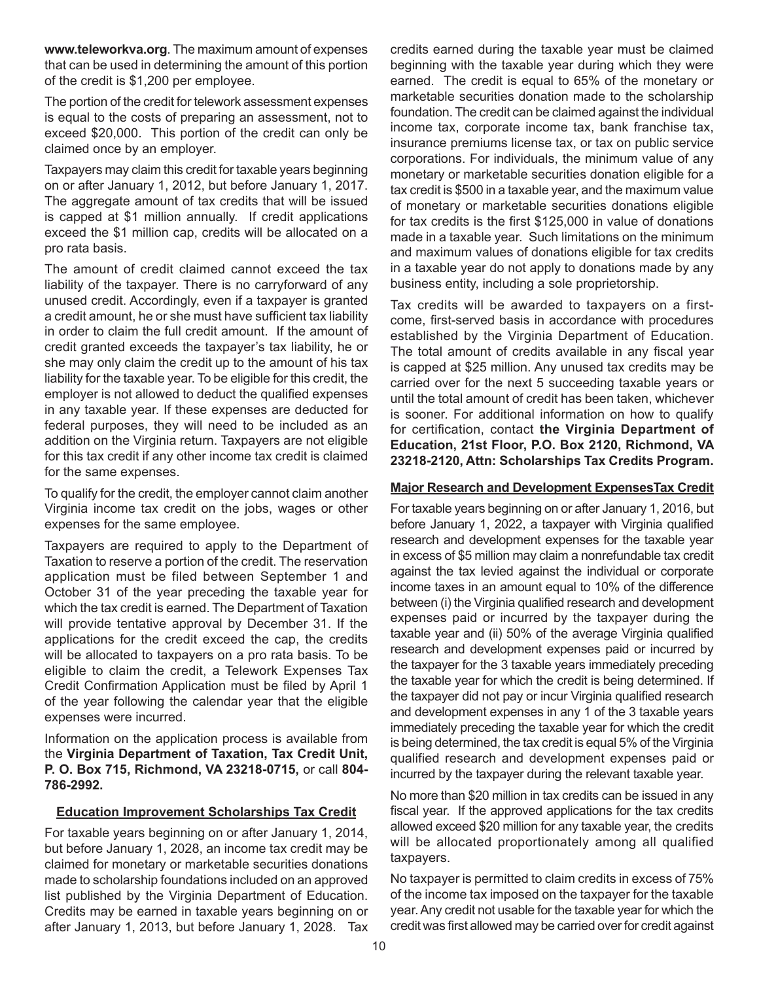**www.teleworkva.org**. The maximum amount of expenses that can be used in determining the amount of this portion of the credit is \$1,200 per employee.

The portion of the credit for telework assessment expenses is equal to the costs of preparing an assessment, not to exceed \$20,000. This portion of the credit can only be claimed once by an employer.

Taxpayers may claim this credit for taxable years beginning on or after January 1, 2012, but before January 1, 2017. The aggregate amount of tax credits that will be issued is capped at \$1 million annually. If credit applications exceed the \$1 million cap, credits will be allocated on a pro rata basis.

The amount of credit claimed cannot exceed the tax liability of the taxpayer. There is no carryforward of any unused credit. Accordingly, even if a taxpayer is granted a credit amount, he or she must have sufficient tax liability in order to claim the full credit amount. If the amount of credit granted exceeds the taxpayer's tax liability, he or she may only claim the credit up to the amount of his tax liability for the taxable year. To be eligible for this credit, the employer is not allowed to deduct the qualified expenses in any taxable year. If these expenses are deducted for federal purposes, they will need to be included as an addition on the Virginia return. Taxpayers are not eligible for this tax credit if any other income tax credit is claimed for the same expenses.

To qualify for the credit, the employer cannot claim another Virginia income tax credit on the jobs, wages or other expenses for the same employee.

Taxpayers are required to apply to the Department of Taxation to reserve a portion of the credit. The reservation application must be filed between September 1 and October 31 of the year preceding the taxable year for which the tax credit is earned. The Department of Taxation will provide tentative approval by December 31. If the applications for the credit exceed the cap, the credits will be allocated to taxpayers on a pro rata basis. To be eligible to claim the credit, a Telework Expenses Tax Credit Confirmation Application must be filed by April 1 of the year following the calendar year that the eligible expenses were incurred.

Information on the application process is available from the **Virginia Department of Taxation, Tax Credit Unit, P. O. Box 715, Richmond, VA 23218-0715,** or call **804- 786-2992.**

### **Education Improvement Scholarships Tax Credit**

For taxable years beginning on or after January 1, 2014, but before January 1, 2028, an income tax credit may be claimed for monetary or marketable securities donations made to scholarship foundations included on an approved list published by the Virginia Department of Education. Credits may be earned in taxable years beginning on or after January 1, 2013, but before January 1, 2028. Tax credits earned during the taxable year must be claimed beginning with the taxable year during which they were earned. The credit is equal to 65% of the monetary or marketable securities donation made to the scholarship foundation. The credit can be claimed against the individual income tax, corporate income tax, bank franchise tax, insurance premiums license tax, or tax on public service corporations. For individuals, the minimum value of any monetary or marketable securities donation eligible for a tax credit is \$500 in a taxable year, and the maximum value of monetary or marketable securities donations eligible for tax credits is the first \$125,000 in value of donations made in a taxable year. Such limitations on the minimum and maximum values of donations eligible for tax credits in a taxable year do not apply to donations made by any business entity, including a sole proprietorship.

Tax credits will be awarded to taxpayers on a firstcome, first-served basis in accordance with procedures established by the Virginia Department of Education. The total amount of credits available in any fiscal year is capped at \$25 million. Any unused tax credits may be carried over for the next 5 succeeding taxable years or until the total amount of credit has been taken, whichever is sooner. For additional information on how to qualify for certification, contact **the Virginia Department of Education, 21st Floor, P.O. Box 2120, Richmond, VA 23218-2120, Attn: Scholarships Tax Credits Program.**

#### **Major Research and Development ExpensesTax Credit**

For taxable years beginning on or after January 1, 2016, but before January 1, 2022, a taxpayer with Virginia qualified research and development expenses for the taxable year in excess of \$5 million may claim a nonrefundable tax credit against the tax levied against the individual or corporate income taxes in an amount equal to 10% of the difference between (i) the Virginia qualified research and development expenses paid or incurred by the taxpayer during the taxable year and (ii) 50% of the average Virginia qualified research and development expenses paid or incurred by the taxpayer for the 3 taxable years immediately preceding the taxable year for which the credit is being determined. If the taxpayer did not pay or incur Virginia qualified research and development expenses in any 1 of the 3 taxable years immediately preceding the taxable year for which the credit is being determined, the tax credit is equal 5% of the Virginia qualified research and development expenses paid or incurred by the taxpayer during the relevant taxable year.

No more than \$20 million in tax credits can be issued in any fiscal year. If the approved applications for the tax credits allowed exceed \$20 million for any taxable year, the credits will be allocated proportionately among all qualified taxpayers.

No taxpayer is permitted to claim credits in excess of 75% of the income tax imposed on the taxpayer for the taxable year. Any credit not usable for the taxable year for which the credit was first allowed may be carried over for credit against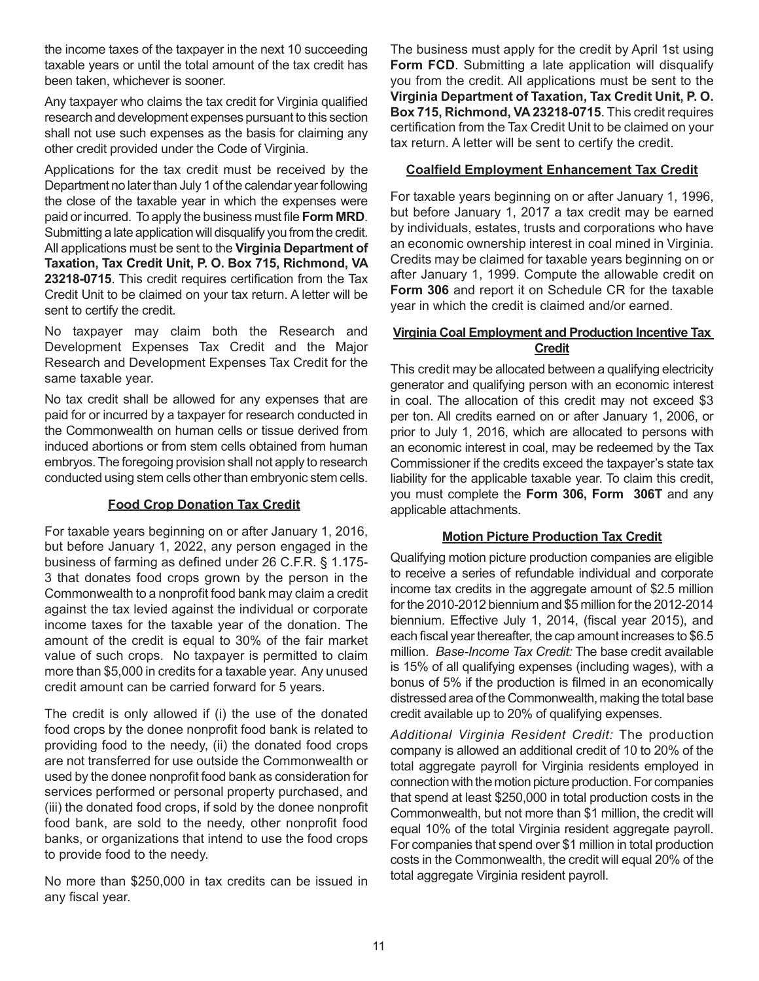the income taxes of the taxpayer in the next 10 succeeding taxable years or until the total amount of the tax credit has been taken, whichever is sooner.

Any taxpayer who claims the tax credit for Virginia qualified research and development expenses pursuant to this section shall not use such expenses as the basis for claiming any other credit provided under the Code of Virginia.

Applications for the tax credit must be received by the Department no later than July 1 of the calendar year following the close of the taxable year in which the expenses were paid or incurred. To apply the business must file **Form MRD**. Submitting a late application will disqualify you from the credit. All applications must be sent to the **Virginia Department of Taxation, Tax Credit Unit, P. O. Box 715, Richmond, VA 23218-0715**. This credit requires certification from the Tax Credit Unit to be claimed on your tax return. A letter will be sent to certify the credit.

No taxpayer may claim both the Research and Development Expenses Tax Credit and the Major Research and Development Expenses Tax Credit for the same taxable year.

No tax credit shall be allowed for any expenses that are paid for or incurred by a taxpayer for research conducted in the Commonwealth on human cells or tissue derived from induced abortions or from stem cells obtained from human embryos. The foregoing provision shall not apply to research conducted using stem cells other than embryonic stem cells.

### **Food Crop Donation Tax Credit**

For taxable years beginning on or after January 1, 2016, but before January 1, 2022, any person engaged in the business of farming as defined under 26 C.F.R. § 1.175- 3 that donates food crops grown by the person in the Commonwealth to a nonprofit food bank may claim a credit against the tax levied against the individual or corporate income taxes for the taxable year of the donation. The amount of the credit is equal to 30% of the fair market value of such crops. No taxpayer is permitted to claim more than \$5,000 in credits for a taxable year. Any unused credit amount can be carried forward for 5 years.

The credit is only allowed if (i) the use of the donated food crops by the donee nonprofit food bank is related to providing food to the needy, (ii) the donated food crops are not transferred for use outside the Commonwealth or used by the donee nonprofit food bank as consideration for services performed or personal property purchased, and (iii) the donated food crops, if sold by the donee nonprofit food bank, are sold to the needy, other nonprofit food banks, or organizations that intend to use the food crops to provide food to the needy.

No more than \$250,000 in tax credits can be issued in any fiscal year.

The business must apply for the credit by April 1st using **Form FCD.** Submitting a late application will disqualify you from the credit. All applications must be sent to the **Virginia Department of Taxation, Tax Credit Unit, P. O. Box 715, Richmond, VA 23218-0715**. This credit requires certification from the Tax Credit Unit to be claimed on your tax return. A letter will be sent to certify the credit.

## **Coalfield Employment Enhancement Tax Credit**

For taxable years beginning on or after January 1, 1996, but before January 1, 2017 a tax credit may be earned by individuals, estates, trusts and corporations who have an economic ownership interest in coal mined in Virginia. Credits may be claimed for taxable years beginning on or after January 1, 1999. Compute the allowable credit on **Form 306** and report it on Schedule CR for the taxable year in which the credit is claimed and/or earned.

### **Virginia Coal Employment and Production Incentive Tax Credit**

This credit may be allocated between a qualifying electricity generator and qualifying person with an economic interest in coal. The allocation of this credit may not exceed \$3 per ton. All credits earned on or after January 1, 2006, or prior to July 1, 2016, which are allocated to persons with an economic interest in coal, may be redeemed by the Tax Commissioner if the credits exceed the taxpayer's state tax liability for the applicable taxable year. To claim this credit, you must complete the **Form 306, Form 306T** and any applicable attachments.

# **Motion Picture Production Tax Credit**

Qualifying motion picture production companies are eligible to receive a series of refundable individual and corporate income tax credits in the aggregate amount of \$2.5 million for the 2010-2012 biennium and \$5 million for the 2012-2014 biennium. Effective July 1, 2014, (fiscal year 2015), and each fiscal year thereafter, the cap amount increases to \$6.5 million. *Base-Income Tax Credit:* The base credit available is 15% of all qualifying expenses (including wages), with a bonus of 5% if the production is filmed in an economically distressed area of the Commonwealth, making the total base credit available up to 20% of qualifying expenses.

*Additional Virginia Resident Credit:* The production company is allowed an additional credit of 10 to 20% of the total aggregate payroll for Virginia residents employed in connection with the motion picture production. For companies that spend at least \$250,000 in total production costs in the Commonwealth, but not more than \$1 million, the credit will equal 10% of the total Virginia resident aggregate payroll. For companies that spend over \$1 million in total production costs in the Commonwealth, the credit will equal 20% of the total aggregate Virginia resident payroll.